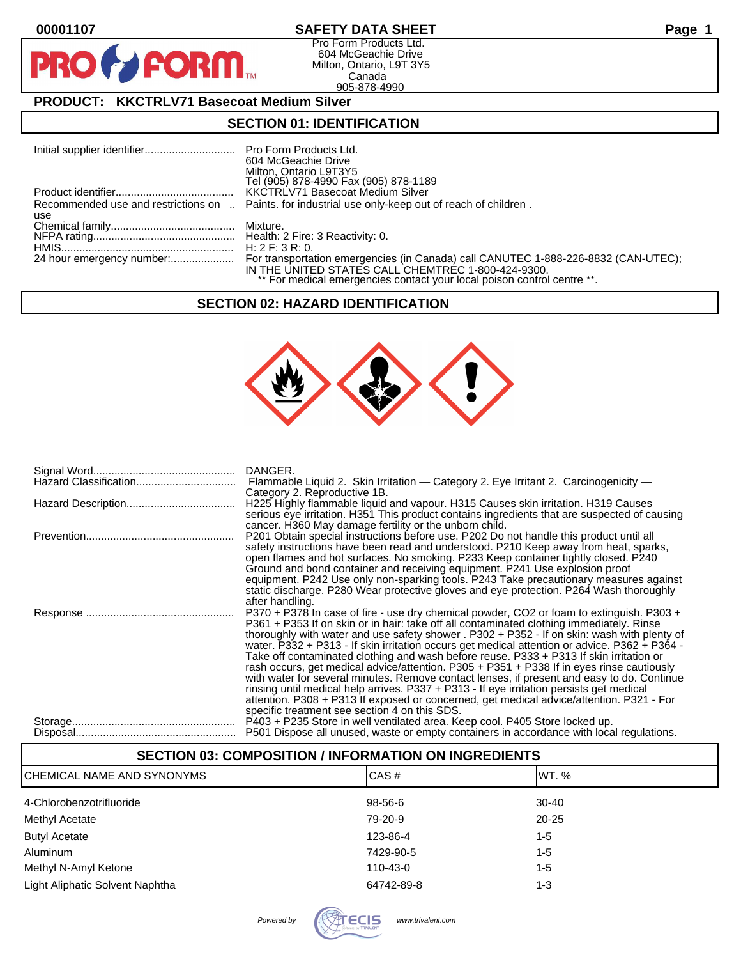PF

## **00001107 SAFETY DATA SHEET Page 1**

Pro Form Products Ltd. 604 McGeachie Drive Milton, Ontario, L9T 3Y5 Canada 905-878-4990

## **PRODUCT: KKCTRLV71 Basecoat Medium Silver**

**FORM** 

## **SECTION 01: IDENTIFICATION**

| 604 McGeachie Drive<br>Milton, Ontario L9T3Y5                                                                                 |
|-------------------------------------------------------------------------------------------------------------------------------|
| Tel (905) 878-4990 Fax (905) 878-1189<br>KKCTRLV71 Basecoat Medium Silver                                                     |
|                                                                                                                               |
| Recommended use and restrictions on  Paints, for industrial use only-keep out of reach of children.                           |
|                                                                                                                               |
|                                                                                                                               |
|                                                                                                                               |
|                                                                                                                               |
| IN THE UNITED STATES CALL CHEMTREC 1-800-424-9300.<br>** For medical emergencies contact your local poison control centre **. |
|                                                                                                                               |

#### **SECTION 02: HAZARD IDENTIFICATION**



| Flammable Liquid 2. Skin Irritation — Category 2. Eye Irritant 2. Carcinogenicity —           |
|-----------------------------------------------------------------------------------------------|
| Category 2. Reproductive 1B.                                                                  |
|                                                                                               |
| H225 Highly flammable liquid and vapour. H315 Causes skin irritation. H319 Causes             |
| serious eye irritation. H351 This product contains ingredients that are suspected of causing  |
| cancer. H360 May damage fertility or the unborn child.                                        |
| P201 Obtain special instructions before use. P202 Do not handle this product until all        |
| safety instructions have been read and understood. P210 Keep away from heat, sparks,          |
| open flames and hot surfaces. No smoking. P233 Keep container tightly closed. P240            |
| Ground and bond container and receiving equipment. P241 Use explosion proof                   |
| equipment. P242 Use only non-sparking tools. P243 Take precautionary measures against         |
| static discharge. P280 Wear protective gloves and eye protection. P264 Wash thoroughly        |
|                                                                                               |
| after handling.                                                                               |
| P370 + P378 In case of fire - use dry chemical powder, CO2 or foam to extinguish. P303 +      |
| P361 + P353 If on skin or in hair: take off all contaminated clothing immediately. Rinse      |
| thoroughly with water and use safety shower . P302 + P352 - If on skin: wash with plenty of   |
| water. P332 + P313 - If skin irritation occurs get medical attention or advice. P362 + P364 - |
| Take off contaminated clothing and wash before reuse. P333 + P313 If skin irritation or       |
| rash occurs, get medical advice/attention. P305 + P351 + P338 If in eyes rinse cautiously     |
| with water for several minutes. Remove contact lenses, if present and easy to do. Continue    |
| rinsing until medical help arrives. P337 + P313 - If eye irritation persists get medical      |
| attention. P308 + P313 If exposed or concerned, get medical advice/attention. P321 - For      |
|                                                                                               |
| specific treatment see section 4 on this SDS.                                                 |
| P403 + P235 Store in well ventilated area. Keep cool. P405 Store locked up.                   |
| P501 Dispose all unused, waste or empty containers in accordance with local regulations.      |

| <b>SECTION 03: COMPOSITION / INFORMATION ON INGREDIENTS</b> |            |           |  |  |
|-------------------------------------------------------------|------------|-----------|--|--|
| ICHEMICAL NAME AND SYNONYMS                                 | CAS#       | IWT. %    |  |  |
| 4-Chlorobenzotrifluoride                                    | 98-56-6    | $30-40$   |  |  |
| Methyl Acetate                                              | 79-20-9    | $20 - 25$ |  |  |
| <b>Butyl Acetate</b>                                        | 123-86-4   | $1 - 5$   |  |  |
| <b>Aluminum</b>                                             | 7429-90-5  | $1 - 5$   |  |  |
| Methyl N-Amyl Ketone                                        | 110-43-0   | $1 - 5$   |  |  |
| Light Aliphatic Solvent Naphtha                             | 64742-89-8 | 1-3       |  |  |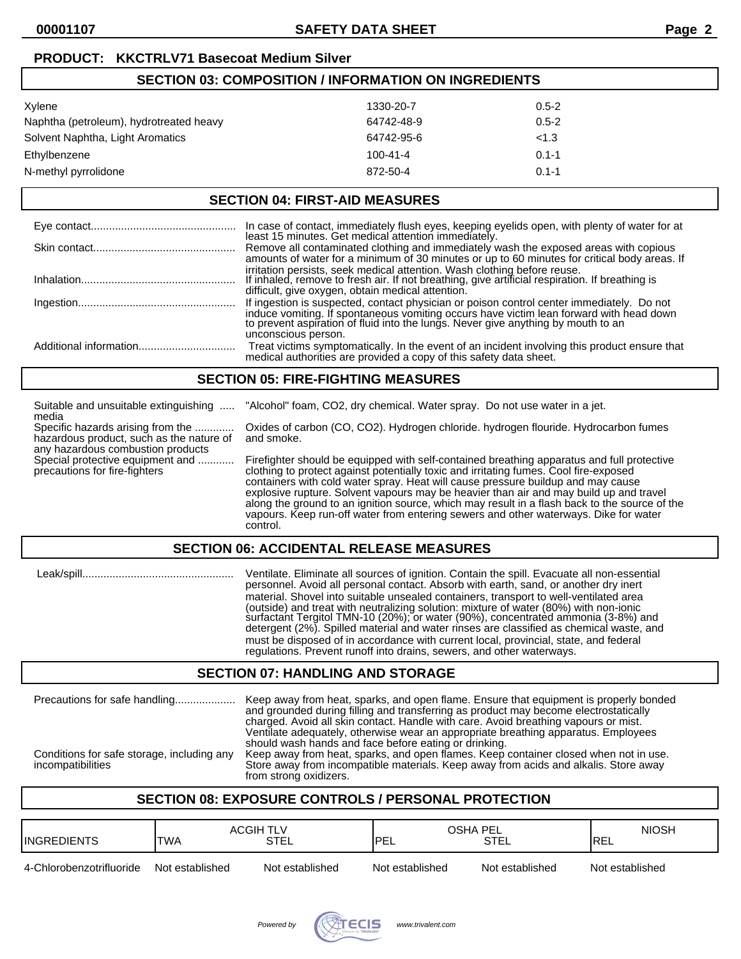| <b>SECTION 03: COMPOSITION / INFORMATION ON INGREDIENTS</b> |                |           |  |
|-------------------------------------------------------------|----------------|-----------|--|
| Xylene                                                      | 1330-20-7      | $0.5 - 2$ |  |
| Naphtha (petroleum), hydrotreated heavy                     | 64742-48-9     | $0.5 - 2$ |  |
| Solvent Naphtha, Light Aromatics                            | 64742-95-6     | < 1.3     |  |
| Ethylbenzene                                                | $100 - 41 - 4$ | $0.1 - 1$ |  |
| N-methyl pyrrolidone                                        | 872-50-4       | $0.1 - 1$ |  |
|                                                             |                |           |  |

#### **SECTION 04: FIRST-AID MEASURES**

| In case of contact, immediately flush eyes, keeping eyelids open, with plenty of water for at least 15 minutes. Get medical attention immediately.                                                                                                                                            |
|-----------------------------------------------------------------------------------------------------------------------------------------------------------------------------------------------------------------------------------------------------------------------------------------------|
| Remove all contaminated clothing and immediately wash the exposed areas with copious<br>amounts of water for a minimum of 30 minutes or up to 60 minutes for critical body areas. If                                                                                                          |
| irritation persists, seek medical attention. Wash clothing before reuse.<br>If inhaled, remove to fresh air. If not breathing, give artificial respiration. If breathing is<br>difficult, give oxygen, obtain medical attention.                                                              |
| If ingestion is suspected, contact physician or poison control center immediately. Do not<br>induce vomiting. If spontaneous vomiting occurs have victim lean forward with head down to prevent aspiration of fluid into the lungs. Never give anything by mouth to an<br>unconscious person. |
| Treat victims symptomatically. In the event of an incident involving this product ensure that medical authorities are provided a copy of this safety data sheet.                                                                                                                              |

#### **SECTION 05: FIRE-FIGHTING MEASURES**

| Suitable and unsuitable extinguishing<br>media                                                                                                                                          | "Alcohol" foam, CO2, dry chemical. Water spray. Do not use water in a jet.                                                                                                                                                                                                                                                                                                                                                                                                                                                                                             |  |
|-----------------------------------------------------------------------------------------------------------------------------------------------------------------------------------------|------------------------------------------------------------------------------------------------------------------------------------------------------------------------------------------------------------------------------------------------------------------------------------------------------------------------------------------------------------------------------------------------------------------------------------------------------------------------------------------------------------------------------------------------------------------------|--|
| Specific hazards arising from the<br>hazardous product, such as the nature of<br>any hazardous combustion products<br>Special protective equipment and<br>precautions for fire-fighters | Oxides of carbon (CO, CO2). Hydrogen chloride. hydrogen flouride. Hydrocarbon fumes<br>and smoke.                                                                                                                                                                                                                                                                                                                                                                                                                                                                      |  |
|                                                                                                                                                                                         | Firefighter should be equipped with self-contained breathing apparatus and full protective<br>clothing to protect against potentially toxic and irritating fumes. Cool fire-exposed<br>containers with cold water spray. Heat will cause pressure buildup and may cause<br>explosive rupture. Solvent vapours may be heavier than air and may build up and travel<br>along the ground to an ignition source, which may result in a flash back to the source of the<br>vapours. Keep run-off water from entering sewers and other waterways. Dike for water<br>control. |  |
| <b>SECTION 06: ACCIDENTAL RELEASE MEASURES</b>                                                                                                                                          |                                                                                                                                                                                                                                                                                                                                                                                                                                                                                                                                                                        |  |

 Leak/spill.................................................. Ventilate. Eliminate all sources of ignition. Contain the spill. Evacuate all non-essential personnel. Avoid all personal contact. Absorb with earth, sand, or another dry inert material. Shovel into suitable unsealed containers, transport to well-ventilated area (outside) and treat with neutralizing solution: mixture of water (80%) with non-ionic surfactant Tergitol TMN-10 (20%); or water (90%), concentrated ammonia (3-8%) and detergent (2%). Spilled material and water rinses are classified as chemical waste, and must be disposed of in accordance with current local, provincial, state, and federal regulations. Prevent runoff into drains, sewers, and other waterways.

## **SECTION 07: HANDLING AND STORAGE**

| Precautions for safe handling              | Keep away from heat, sparks, and open flame. Ensure that equipment is properly bonded<br>and grounded during filling and transferring as product may become electrostatically<br>charged. Avoid all skin contact. Handle with care. Avoid breathing vapours or mist.<br>Ventilate adequately, otherwise wear an appropriate breathing apparatus. Employees<br>should wash hands and face before eating or drinking. |
|--------------------------------------------|---------------------------------------------------------------------------------------------------------------------------------------------------------------------------------------------------------------------------------------------------------------------------------------------------------------------------------------------------------------------------------------------------------------------|
| Conditions for safe storage, including any | Keep away from heat, sparks, and open flames. Keep container closed when not in use.                                                                                                                                                                                                                                                                                                                                |
| incompatibilities                          | Store away from incompatible materials. Keep away from acids and alkalis. Store away                                                                                                                                                                                                                                                                                                                                |

## from strong oxidizers.

## **SECTION 08: EXPOSURE CONTROLS / PERSONAL PROTECTION**

| <b>INGREDIENTS</b>       | <b>ACGIH TLV</b><br><b>ITWA</b> | <b>STEL</b>     | OSHA PEL<br>'PEL | <b>STEL</b>     | <b>NIOSH</b><br><b>IREL</b> |
|--------------------------|---------------------------------|-----------------|------------------|-----------------|-----------------------------|
| 4-Chlorobenzotrifluoride | Not established                 | Not established | Not established  | Not established | Not established             |

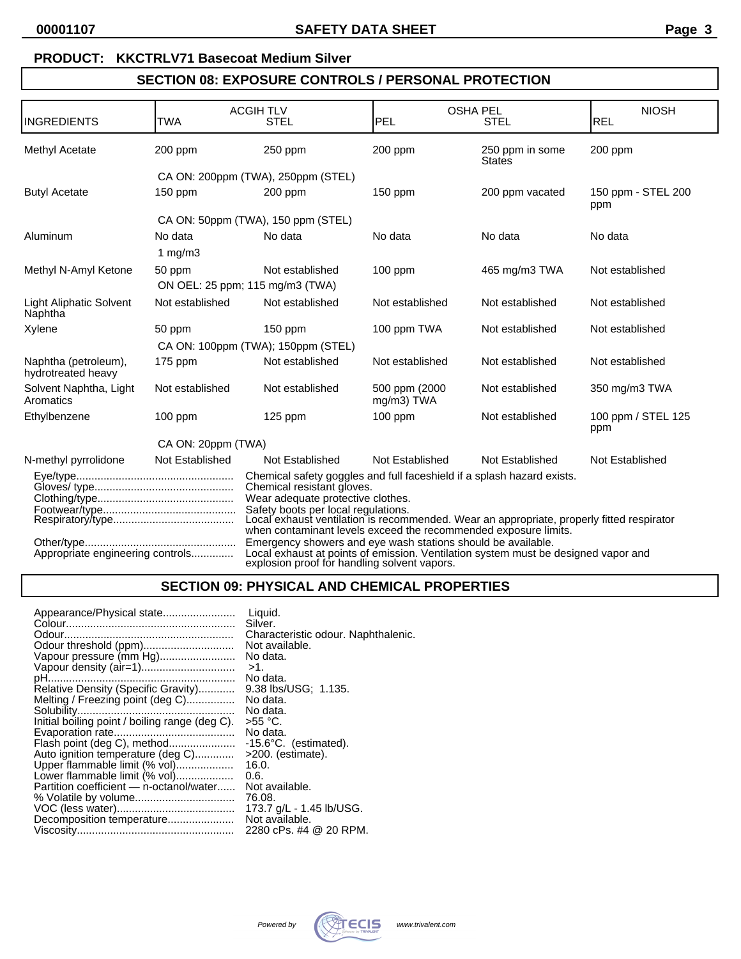# **PRODUCT: KKCTRLV71 Basecoat Medium Silver**

# **SECTION 08: EXPOSURE CONTROLS / PERSONAL PROTECTION**

|                                                                                                                                                                                                                                                                                                                                                                                                                                                                                                                                                                                            |                    | <b>ACGIH TLV</b>                                   |                              | <b>OSHA PEL</b>                  | <b>NIOSH</b>              |
|--------------------------------------------------------------------------------------------------------------------------------------------------------------------------------------------------------------------------------------------------------------------------------------------------------------------------------------------------------------------------------------------------------------------------------------------------------------------------------------------------------------------------------------------------------------------------------------------|--------------------|----------------------------------------------------|------------------------------|----------------------------------|---------------------------|
| INGREDIENTS                                                                                                                                                                                                                                                                                                                                                                                                                                                                                                                                                                                | <b>TWA</b>         | <b>STEL</b>                                        | PEL                          | <b>STEL</b>                      | REL                       |
| Methyl Acetate                                                                                                                                                                                                                                                                                                                                                                                                                                                                                                                                                                             | 200 ppm            | $250$ ppm                                          | 200 ppm                      | 250 ppm in some<br><b>States</b> | 200 ppm                   |
|                                                                                                                                                                                                                                                                                                                                                                                                                                                                                                                                                                                            |                    | CA ON: 200ppm (TWA), 250ppm (STEL)                 |                              |                                  |                           |
| <b>Butyl Acetate</b>                                                                                                                                                                                                                                                                                                                                                                                                                                                                                                                                                                       | $150$ ppm          | $200$ ppm                                          | $150$ ppm                    | 200 ppm vacated                  | 150 ppm - STEL 200<br>ppm |
|                                                                                                                                                                                                                                                                                                                                                                                                                                                                                                                                                                                            |                    | CA ON: 50ppm (TWA), 150 ppm (STEL)                 |                              |                                  |                           |
| Aluminum                                                                                                                                                                                                                                                                                                                                                                                                                                                                                                                                                                                   | No data            | No data                                            | No data                      | No data                          | No data                   |
|                                                                                                                                                                                                                                                                                                                                                                                                                                                                                                                                                                                            | 1 $mg/m3$          |                                                    |                              |                                  |                           |
| Methyl N-Amyl Ketone                                                                                                                                                                                                                                                                                                                                                                                                                                                                                                                                                                       | 50 ppm             | Not established<br>ON OEL: 25 ppm; 115 mg/m3 (TWA) | 100 ppm                      | 465 mg/m3 TWA                    | Not established           |
| <b>Light Aliphatic Solvent</b><br>Naphtha                                                                                                                                                                                                                                                                                                                                                                                                                                                                                                                                                  | Not established    | Not established                                    | Not established              | Not established                  | Not established           |
| Xylene                                                                                                                                                                                                                                                                                                                                                                                                                                                                                                                                                                                     | 50 ppm             | $150$ ppm                                          | 100 ppm TWA                  | Not established                  | Not established           |
|                                                                                                                                                                                                                                                                                                                                                                                                                                                                                                                                                                                            |                    | CA ON: 100ppm (TWA); 150ppm (STEL)                 |                              |                                  |                           |
| Naphtha (petroleum),<br>hydrotreated heavy                                                                                                                                                                                                                                                                                                                                                                                                                                                                                                                                                 | $175$ ppm          | Not established                                    | Not established              | Not established                  | Not established           |
| Solvent Naphtha, Light<br>Aromatics                                                                                                                                                                                                                                                                                                                                                                                                                                                                                                                                                        | Not established    | Not established                                    | 500 ppm (2000)<br>mg/m3) TWA | Not established                  | 350 mg/m3 TWA             |
| Ethylbenzene                                                                                                                                                                                                                                                                                                                                                                                                                                                                                                                                                                               | $100$ ppm          | $125$ ppm                                          | $100$ ppm                    | Not established                  | 100 ppm / STEL 125<br>ppm |
|                                                                                                                                                                                                                                                                                                                                                                                                                                                                                                                                                                                            | CA ON: 20ppm (TWA) |                                                    |                              |                                  |                           |
| N-methyl pyrrolidone                                                                                                                                                                                                                                                                                                                                                                                                                                                                                                                                                                       | Not Established    | Not Established                                    | Not Established              | Not Established                  | Not Established           |
| Chemical safety goggles and full faceshield if a splash hazard exists.<br>Chemical resistant gloves.<br>Wear adequate protective clothes.<br>Safety boots per local regulations.<br>Local exhaust ventilation is recommended. Wear an appropriate, properly fitted respirator<br>when contaminant levels exceed the recommended exposure limits.<br>Emergency showers and eye wash stations should be available.<br>Local exhaust at points of emission. Ventilation system must be designed vapor and<br>Appropriate engineering controls<br>explosion proof for handling solvent vapors. |                    |                                                    |                              |                                  |                           |

# **SECTION 09: PHYSICAL AND CHEMICAL PROPERTIES**

| Appearance/Physical state<br>Liquid.                           |  |
|----------------------------------------------------------------|--|
| Silver.                                                        |  |
| Characteristic odour. Naphthalenic.                            |  |
| Not available.                                                 |  |
| Vapour pressure (mm Hg)<br>No data.                            |  |
| $>1$ .                                                         |  |
| No data.                                                       |  |
| Relative Density (Specific Gravity)<br>9.38 lbs/USG; 1.135.    |  |
| Melting / Freezing point (deg C)<br>No data.                   |  |
| No data.                                                       |  |
| Initial boiling point / boiling range (deg C).<br>>55 °C.      |  |
| No data.                                                       |  |
| Flash point (deg C), method<br>$-15.6^{\circ}$ C. (estimated). |  |
| Auto ignition temperature (deg C)<br>$>200.$ (estimate).       |  |
| Upper flammable limit (% vol)<br>16.0.                         |  |
| Lower flammable limit (% vol)<br>0.6.                          |  |
| Partition coefficient - n-octanol/water<br>Not available.      |  |
| 76.08.                                                         |  |
| 173.7 g/L - 1.45 lb/USG.                                       |  |
| Not available.<br>Decomposition temperature                    |  |
| 2280 cPs. #4 @ 20 RPM.                                         |  |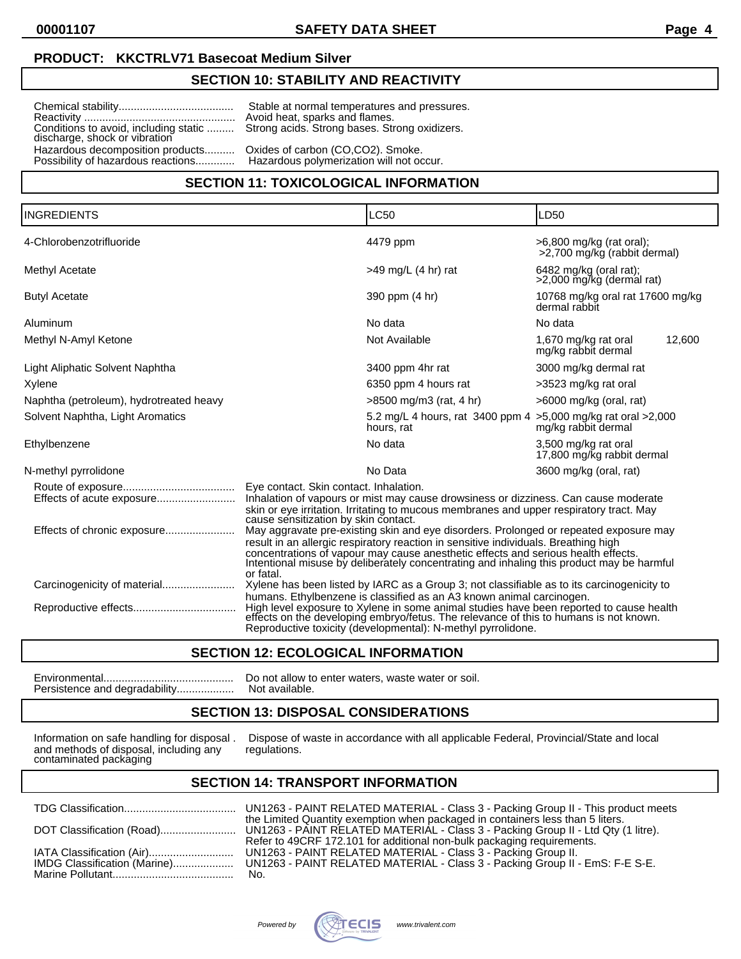### **PRODUCT: KKCTRLV71 Basecoat Medium Silver**

## **SECTION 10: STABILITY AND REACTIVITY**

Reactivity .................................................. Avoid heat, sparks and flames. discharge, shock or vibration Hazardous decomposition products.......... Oxides of carbon (CO,CO2). Smoke.<br>Possibility of hazardous reactions.............. Hazardous polymerization will not occur. Possibility of hazardous reactions.............

Chemical stability...................................... Stable at normal temperatures and pressures. Strong acids. Strong bases. Strong oxidizers.

### **SECTION 11: TOXICOLOGICAL INFORMATION**

| <b>INGREDIENTS</b>                      |                                                                                                                                                                                                                                                                                                                                                                             | <b>LC50</b>                                                                                                                                                                                                                                                                                                              | LD50                                                       |
|-----------------------------------------|-----------------------------------------------------------------------------------------------------------------------------------------------------------------------------------------------------------------------------------------------------------------------------------------------------------------------------------------------------------------------------|--------------------------------------------------------------------------------------------------------------------------------------------------------------------------------------------------------------------------------------------------------------------------------------------------------------------------|------------------------------------------------------------|
| 4-Chlorobenzotrifluoride                |                                                                                                                                                                                                                                                                                                                                                                             | 4479 ppm                                                                                                                                                                                                                                                                                                                 | $>6,800$ mg/kg (rat oral);<br>>2,700 mg/kg (rabbit dermal) |
| Methyl Acetate                          |                                                                                                                                                                                                                                                                                                                                                                             | $>49$ mg/L (4 hr) rat                                                                                                                                                                                                                                                                                                    | $6482$ mg/kg (oral rat);<br>>2,000 mg/kg (dermal rat)      |
| <b>Butyl Acetate</b>                    |                                                                                                                                                                                                                                                                                                                                                                             | 390 ppm (4 hr)                                                                                                                                                                                                                                                                                                           | 10768 mg/kg oral rat 17600 mg/kg<br>dermal rabbit          |
| Aluminum                                |                                                                                                                                                                                                                                                                                                                                                                             | No data                                                                                                                                                                                                                                                                                                                  | No data                                                    |
| Methyl N-Amyl Ketone                    |                                                                                                                                                                                                                                                                                                                                                                             | Not Available                                                                                                                                                                                                                                                                                                            | 1,670 mg/kg rat oral<br>12,600<br>mg/kg rabbit dermal      |
| Light Aliphatic Solvent Naphtha         |                                                                                                                                                                                                                                                                                                                                                                             | 3400 ppm 4hr rat                                                                                                                                                                                                                                                                                                         | 3000 mg/kg dermal rat                                      |
| Xylene                                  |                                                                                                                                                                                                                                                                                                                                                                             | 6350 ppm 4 hours rat                                                                                                                                                                                                                                                                                                     | >3523 mg/kg rat oral                                       |
| Naphtha (petroleum), hydrotreated heavy |                                                                                                                                                                                                                                                                                                                                                                             | $>8500$ mg/m3 (rat, 4 hr)                                                                                                                                                                                                                                                                                                | $>6000$ mg/kg (oral, rat)                                  |
| Solvent Naphtha, Light Aromatics        |                                                                                                                                                                                                                                                                                                                                                                             | 5.2 mg/L 4 hours, rat 3400 ppm 4 > 5,000 mg/kg rat oral > 2,000<br>hours, rat                                                                                                                                                                                                                                            | mg/kg rabbit dermal                                        |
| Ethylbenzene                            |                                                                                                                                                                                                                                                                                                                                                                             | No data                                                                                                                                                                                                                                                                                                                  | 3,500 mg/kg rat oral<br>17,800 mg/kg rabbit dermal         |
| N-methyl pyrrolidone                    |                                                                                                                                                                                                                                                                                                                                                                             | No Data                                                                                                                                                                                                                                                                                                                  | 3600 mg/kg (oral, rat)                                     |
|                                         | Eye contact. Skin contact. Inhalation.                                                                                                                                                                                                                                                                                                                                      |                                                                                                                                                                                                                                                                                                                          |                                                            |
|                                         | Inhalation of vapours or mist may cause drowsiness or dizziness. Can cause moderate<br>skin or eye irritation. Irritating to mucous membranes and upper respiratory tract. May<br>cause sensitization by skin contact.                                                                                                                                                      |                                                                                                                                                                                                                                                                                                                          |                                                            |
|                                         | May aggravate pre-existing skin and eye disorders. Prolonged or repeated exposure may<br>result in an allergic respiratory reaction in sensitive individuals. Breathing high<br>concentrations of vapour may cause anesthetic effects and serious health effects.<br>Intentional misuse by deliberately concentrating and inhaling this product may be harmful<br>or fatal. |                                                                                                                                                                                                                                                                                                                          |                                                            |
|                                         |                                                                                                                                                                                                                                                                                                                                                                             | Xylene has been listed by IARC as a Group 3; not classifiable as to its carcinogenicity to                                                                                                                                                                                                                               |                                                            |
|                                         |                                                                                                                                                                                                                                                                                                                                                                             | humans. Ethylbenzene is classified as an A3 known animal carcinogen.<br>High level exposure to Xylene in some animal studies have been reported to cause health<br>effects on the developing embryo/fetus. The relevance of this to humans is not known.<br>Reproductive toxicity (developmental): N-methyl pyrrolidone. |                                                            |

### **SECTION 12: ECOLOGICAL INFORMATION**

Environmental........................................... Do not allow to enter waters, waste water or soil. Persistence and degradability................... Not available.

## **SECTION 13: DISPOSAL CONSIDERATIONS**

and methods of disposal, including any contaminated packaging

Information on safe handling for disposal . Dispose of waste in accordance with all applicable Federal, Provincial/State and local and methods of disposal, including any regulations.

### **SECTION 14: TRANSPORT INFORMATION**

|                              | UNT.  |
|------------------------------|-------|
|                              | the L |
| DOT Classification (Road)    | UN1:  |
|                              | Refe  |
| IATA Classification (Air)    | UN1:  |
| IMDG Classification (Marine) | UN1   |
|                              | No.   |

TDG Classification..................................... UN1263 - PAINT RELATED MATERIAL - Class 3 - Packing Group II - This product meets Limited Quantity exemption when packaged in containers less than 5 liters. l1263 - PAINT RELATED MATERIAL - Class 3 - Packing Group II - Ltd Qty (1 litre). Refer to 49CRF 172.101 for additional non-bulk packaging requirements. IATA Classification (Air)............................ UN1263 - PAINT RELATED MATERIAL - Class 3 - Packing Group II. I1263 - PAINT RELATED MATERIAL - Class 3 - Packing Group II - EmS: F-E S-E.